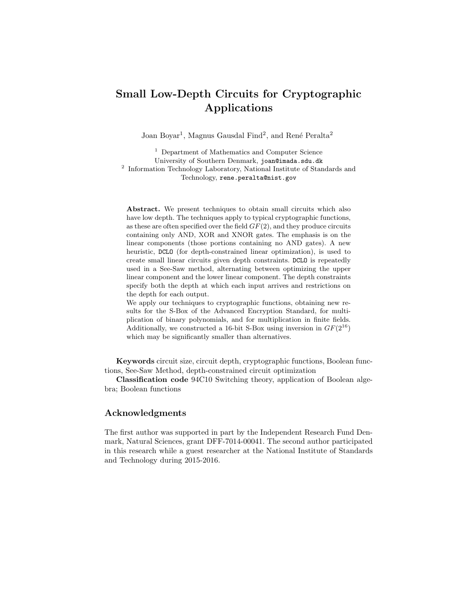# Small Low-Depth Circuits for Cryptographic Applications

Joan Boyar<sup>1</sup>, Magnus Gausdal Find<sup>2</sup>, and René Peralta<sup>2</sup>

<sup>1</sup> Department of Mathematics and Computer Science University of Southern Denmark, joan@imada.sdu.dk <sup>2</sup> Information Technology Laboratory, National Institute of Standards and Technology, rene.peralta@nist.gov

Abstract. We present techniques to obtain small circuits which also have low depth. The techniques apply to typical cryptographic functions, as these are often specified over the field  $GF(2)$ , and they produce circuits containing only AND, XOR and XNOR gates. The emphasis is on the linear components (those portions containing no AND gates). A new heuristic, DCLO (for depth-constrained linear optimization), is used to create small linear circuits given depth constraints. DCLO is repeatedly used in a See-Saw method, alternating between optimizing the upper linear component and the lower linear component. The depth constraints specify both the depth at which each input arrives and restrictions on the depth for each output.

We apply our techniques to cryptographic functions, obtaining new results for the S-Box of the Advanced Encryption Standard, for multiplication of binary polynomials, and for multiplication in finite fields. Additionally, we constructed a 16-bit S-Box using inversion in  $GF(2^{16})$ which may be significantly smaller than alternatives.

Keywords circuit size, circuit depth, cryptographic functions, Boolean functions, See-Saw Method, depth-constrained circuit optimization

Classification code 94C10 Switching theory, application of Boolean algebra; Boolean functions

# Acknowledgments

The first author was supported in part by the Independent Research Fund Denmark, Natural Sciences, grant DFF-7014-00041. The second author participated in this research while a guest researcher at the National Institute of Standards and Technology during 2015-2016.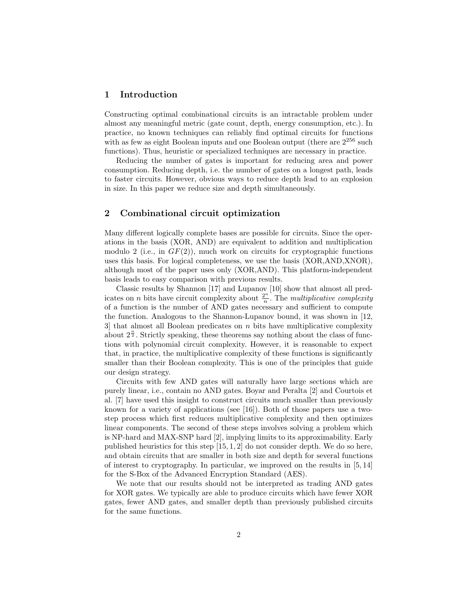### 1 Introduction

Constructing optimal combinational circuits is an intractable problem under almost any meaningful metric (gate count, depth, energy consumption, etc.). In practice, no known techniques can reliably find optimal circuits for functions with as few as eight Boolean inputs and one Boolean output (there are  $2^{256}$  such functions). Thus, heuristic or specialized techniques are necessary in practice.

Reducing the number of gates is important for reducing area and power consumption. Reducing depth, i.e. the number of gates on a longest path, leads to faster circuits. However, obvious ways to reduce depth lead to an explosion in size. In this paper we reduce size and depth simultaneously.

# 2 Combinational circuit optimization

Many different logically complete bases are possible for circuits. Since the operations in the basis (XOR, AND) are equivalent to addition and multiplication modulo 2 (i.e., in  $GF(2)$ ), much work on circuits for cryptographic functions uses this basis. For logical completeness, we use the basis (XOR,AND,XNOR), although most of the paper uses only (XOR,AND). This platform-independent basis leads to easy comparison with previous results.

Classic results by Shannon [17] and Lupanov [10] show that almost all predicates on *n* bits have circuit complexity about  $\frac{2^n}{n}$ . The *multiplicative complexity* of a function is the number of AND gates necessary and sufficient to compute the function. Analogous to the Shannon-Lupanov bound, it was shown in [12, 3 that almost all Boolean predicates on  $n$  bits have multiplicative complexity about  $2^{\frac{n}{2}}$ . Strictly speaking, these theorems say nothing about the class of functions with polynomial circuit complexity. However, it is reasonable to expect that, in practice, the multiplicative complexity of these functions is significantly smaller than their Boolean complexity. This is one of the principles that guide our design strategy.

Circuits with few AND gates will naturally have large sections which are purely linear, i.e., contain no AND gates. Boyar and Peralta [2] and Courtois et al. [7] have used this insight to construct circuits much smaller than previously known for a variety of applications (see [16]). Both of those papers use a twostep process which first reduces multiplicative complexity and then optimizes linear components. The second of these steps involves solving a problem which is NP-hard and MAX-SNP hard [2], implying limits to its approximability. Early published heuristics for this step [15, 1, 2] do not consider depth. We do so here, and obtain circuits that are smaller in both size and depth for several functions of interest to cryptography. In particular, we improved on the results in [5, 14] for the S-Box of the Advanced Encryption Standard (AES).

We note that our results should not be interpreted as trading AND gates for XOR gates. We typically are able to produce circuits which have fewer XOR gates, fewer AND gates, and smaller depth than previously published circuits for the same functions.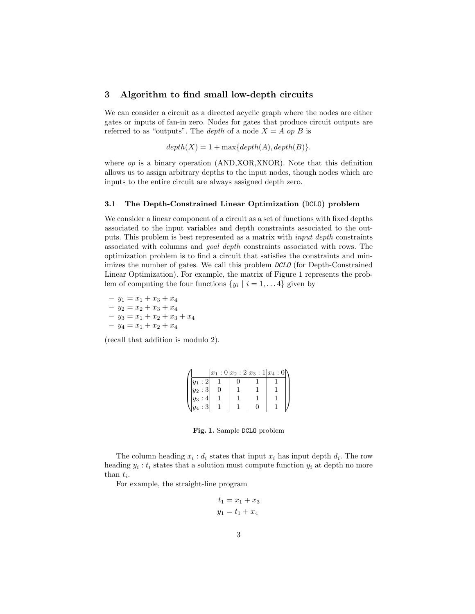### 3 Algorithm to find small low-depth circuits

We can consider a circuit as a directed acyclic graph where the nodes are either gates or inputs of fan-in zero. Nodes for gates that produce circuit outputs are referred to as "outputs". The *depth* of a node  $X = A$  op B is

 $depth(X) = 1 + max\{depth(A), depth(B)\}.$ 

where *op* is a binary operation (AND, XOR, XNOR). Note that this definition allows us to assign arbitrary depths to the input nodes, though nodes which are inputs to the entire circuit are always assigned depth zero.

#### 3.1 The Depth-Constrained Linear Optimization (DCLO) problem

We consider a linear component of a circuit as a set of functions with fixed depths associated to the input variables and depth constraints associated to the outputs. This problem is best represented as a matrix with input depth constraints associated with columns and goal depth constraints associated with rows. The optimization problem is to find a circuit that satisfies the constraints and minimizes the number of gates. We call this problem DCLO (for Depth-Constrained Linear Optimization). For example, the matrix of Figure 1 represents the problem of computing the four functions  $\{y_i \mid i = 1, \ldots 4\}$  given by

 $- y_1 = x_1 + x_3 + x_4$  $-y_2 = x_2 + x_3 + x_4$  $- y_3 = x_1 + x_2 + x_3 + x_4$  $- y_4 = x_1 + x_2 + x_4$ 

(recall that addition is modulo 2).

|         | $ x_1:0 x_2:2 x_3:1 x_4:$ |  |
|---------|---------------------------|--|
| 1:<br>2 |                           |  |
| $y_2:3$ |                           |  |
| $y_3$   |                           |  |
|         |                           |  |

Fig. 1. Sample DCLO problem

The column heading  $x_i : d_i$  states that input  $x_i$  has input depth  $d_i$ . The row heading  $y_i : t_i$  states that a solution must compute function  $y_i$  at depth no more than  $t_i$ .

For example, the straight-line program

$$
t_1 = x_1 + x_3
$$

$$
y_1 = t_1 + x_4
$$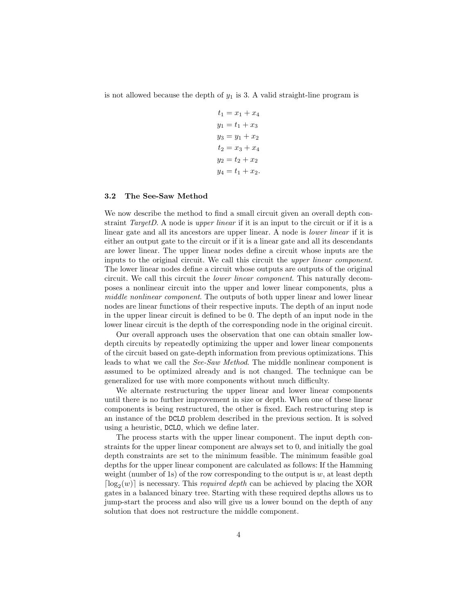is not allowed because the depth of  $y_1$  is 3. A valid straight-line program is

$$
t_1 = x_1 + x_4
$$
  
\n
$$
y_1 = t_1 + x_3
$$
  
\n
$$
y_3 = y_1 + x_2
$$
  
\n
$$
t_2 = x_3 + x_4
$$
  
\n
$$
y_2 = t_2 + x_2
$$
  
\n
$$
y_4 = t_1 + x_2.
$$

### 3.2 The See-Saw Method

We now describe the method to find a small circuit given an overall depth constraint TargetD. A node is upper linear if it is an input to the circuit or if it is a linear gate and all its ancestors are upper linear. A node is lower linear if it is either an output gate to the circuit or if it is a linear gate and all its descendants are lower linear. The upper linear nodes define a circuit whose inputs are the inputs to the original circuit. We call this circuit the upper linear component. The lower linear nodes define a circuit whose outputs are outputs of the original circuit. We call this circuit the lower linear component. This naturally decomposes a nonlinear circuit into the upper and lower linear components, plus a middle nonlinear component. The outputs of both upper linear and lower linear nodes are linear functions of their respective inputs. The depth of an input node in the upper linear circuit is defined to be 0. The depth of an input node in the lower linear circuit is the depth of the corresponding node in the original circuit.

Our overall approach uses the observation that one can obtain smaller lowdepth circuits by repeatedly optimizing the upper and lower linear components of the circuit based on gate-depth information from previous optimizations. This leads to what we call the See-Saw Method. The middle nonlinear component is assumed to be optimized already and is not changed. The technique can be generalized for use with more components without much difficulty.

We alternate restructuring the upper linear and lower linear components until there is no further improvement in size or depth. When one of these linear components is being restructured, the other is fixed. Each restructuring step is an instance of the DCLO problem described in the previous section. It is solved using a heuristic, DCLO, which we define later.

The process starts with the upper linear component. The input depth constraints for the upper linear component are always set to 0, and initially the goal depth constraints are set to the minimum feasible. The minimum feasible goal depths for the upper linear component are calculated as follows: If the Hamming weight (number of 1s) of the row corresponding to the output is  $w$ , at least depth  $\lceil \log_2(w) \rceil$  is necessary. This *required depth* can be achieved by placing the XOR gates in a balanced binary tree. Starting with these required depths allows us to jump-start the process and also will give us a lower bound on the depth of any solution that does not restructure the middle component.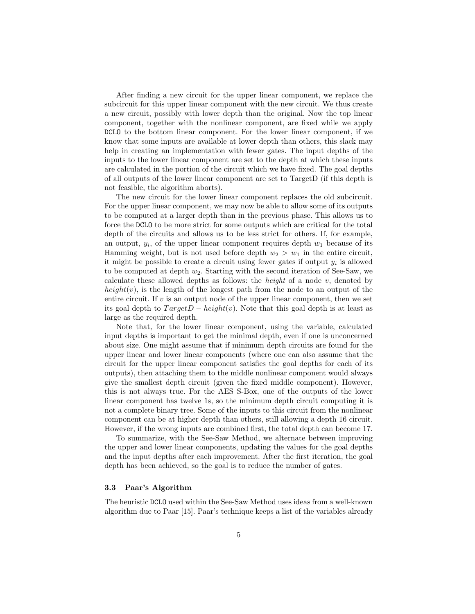After finding a new circuit for the upper linear component, we replace the subcircuit for this upper linear component with the new circuit. We thus create a new circuit, possibly with lower depth than the original. Now the top linear component, together with the nonlinear component, are fixed while we apply DCLO to the bottom linear component. For the lower linear component, if we know that some inputs are available at lower depth than others, this slack may help in creating an implementation with fewer gates. The input depths of the inputs to the lower linear component are set to the depth at which these inputs are calculated in the portion of the circuit which we have fixed. The goal depths of all outputs of the lower linear component are set to TargetD (if this depth is not feasible, the algorithm aborts).

The new circuit for the lower linear component replaces the old subcircuit. For the upper linear component, we may now be able to allow some of its outputs to be computed at a larger depth than in the previous phase. This allows us to force the DCLO to be more strict for some outputs which are critical for the total depth of the circuits and allows us to be less strict for others. If, for example, an output,  $y_i$ , of the upper linear component requires depth  $w_1$  because of its Hamming weight, but is not used before depth  $w_2 > w_1$  in the entire circuit, it might be possible to create a circuit using fewer gates if output  $y_i$  is allowed to be computed at depth  $w_2$ . Starting with the second iteration of See-Saw, we calculate these allowed depths as follows: the *height* of a node  $v$ , denoted by  $height(v)$ , is the length of the longest path from the node to an output of the entire circuit. If  $v$  is an output node of the upper linear component, then we set its goal depth to  $TargetD - height(v)$ . Note that this goal depth is at least as large as the required depth.

Note that, for the lower linear component, using the variable, calculated input depths is important to get the minimal depth, even if one is unconcerned about size. One might assume that if minimum depth circuits are found for the upper linear and lower linear components (where one can also assume that the circuit for the upper linear component satisfies the goal depths for each of its outputs), then attaching them to the middle nonlinear component would always give the smallest depth circuit (given the fixed middle component). However, this is not always true. For the AES S-Box, one of the outputs of the lower linear component has twelve 1s, so the minimum depth circuit computing it is not a complete binary tree. Some of the inputs to this circuit from the nonlinear component can be at higher depth than others, still allowing a depth 16 circuit. However, if the wrong inputs are combined first, the total depth can become 17.

To summarize, with the See-Saw Method, we alternate between improving the upper and lower linear components, updating the values for the goal depths and the input depths after each improvement. After the first iteration, the goal depth has been achieved, so the goal is to reduce the number of gates.

#### 3.3 Paar's Algorithm

The heuristic DCLO used within the See-Saw Method uses ideas from a well-known algorithm due to Paar [15]. Paar's technique keeps a list of the variables already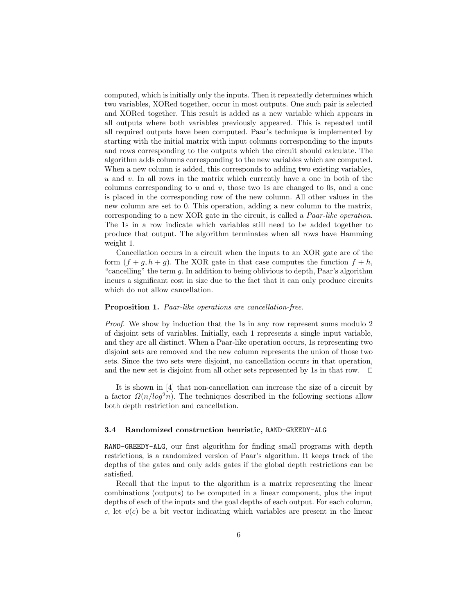computed, which is initially only the inputs. Then it repeatedly determines which two variables, XORed together, occur in most outputs. One such pair is selected and XORed together. This result is added as a new variable which appears in all outputs where both variables previously appeared. This is repeated until all required outputs have been computed. Paar's technique is implemented by starting with the initial matrix with input columns corresponding to the inputs and rows corresponding to the outputs which the circuit should calculate. The algorithm adds columns corresponding to the new variables which are computed. When a new column is added, this corresponds to adding two existing variables,  $u$  and  $v$ . In all rows in the matrix which currently have a one in both of the columns corresponding to  $u$  and  $v$ , those two 1s are changed to 0s, and a one is placed in the corresponding row of the new column. All other values in the new column are set to 0. This operation, adding a new column to the matrix, corresponding to a new XOR gate in the circuit, is called a Paar-like operation. The 1s in a row indicate which variables still need to be added together to produce that output. The algorithm terminates when all rows have Hamming weight 1.

Cancellation occurs in a circuit when the inputs to an XOR gate are of the form  $(f + q, h + q)$ . The XOR gate in that case computes the function  $f + h$ , "cancelling" the term g. In addition to being oblivious to depth, Paar's algorithm incurs a significant cost in size due to the fact that it can only produce circuits which do not allow cancellation.

### Proposition 1. Paar-like operations are cancellation-free.

Proof. We show by induction that the 1s in any row represent sums modulo 2 of disjoint sets of variables. Initially, each 1 represents a single input variable, and they are all distinct. When a Paar-like operation occurs, 1s representing two disjoint sets are removed and the new column represents the union of those two sets. Since the two sets were disjoint, no cancellation occurs in that operation, and the new set is disjoint from all other sets represented by 1s in that row.  $\Box$ 

It is shown in [4] that non-cancellation can increase the size of a circuit by a factor  $\Omega(n/log^2n)$ . The techniques described in the following sections allow both depth restriction and cancellation.

#### 3.4 Randomized construction heuristic, RAND-GREEDY-ALG

RAND-GREEDY-ALG, our first algorithm for finding small programs with depth restrictions, is a randomized version of Paar's algorithm. It keeps track of the depths of the gates and only adds gates if the global depth restrictions can be satisfied.

Recall that the input to the algorithm is a matrix representing the linear combinations (outputs) to be computed in a linear component, plus the input depths of each of the inputs and the goal depths of each output. For each column, c, let  $v(c)$  be a bit vector indicating which variables are present in the linear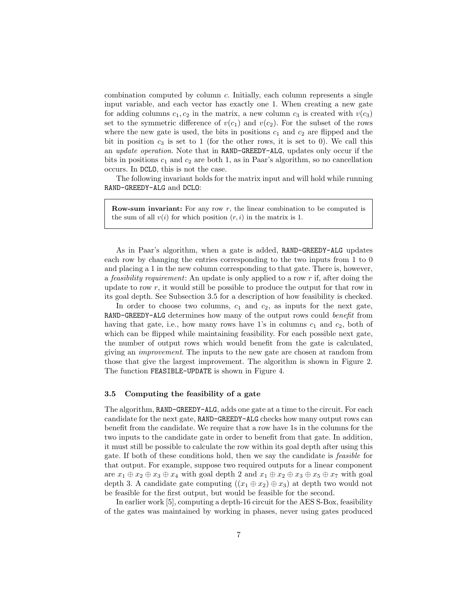combination computed by column  $c$ . Initially, each column represents a single input variable, and each vector has exactly one 1. When creating a new gate for adding columns  $c_1, c_2$  in the matrix, a new column  $c_3$  is created with  $v(c_3)$ set to the symmetric difference of  $v(c_1)$  and  $v(c_2)$ . For the subset of the rows where the new gate is used, the bits in positions  $c_1$  and  $c_2$  are flipped and the bit in position  $c_3$  is set to 1 (for the other rows, it is set to 0). We call this an update operation. Note that in RAND-GREEDY-ALG, updates only occur if the bits in positions  $c_1$  and  $c_2$  are both 1, as in Paar's algorithm, so no cancellation occurs. In DCLO, this is not the case.

The following invariant holds for the matrix input and will hold while running RAND-GREEDY-ALG and DCLO:

**Row-sum invariant:** For any row  $r$ , the linear combination to be computed is the sum of all  $v(i)$  for which position  $(r, i)$  in the matrix is 1.

As in Paar's algorithm, when a gate is added, RAND-GREEDY-ALG updates each row by changing the entries corresponding to the two inputs from 1 to 0 and placing a 1 in the new column corresponding to that gate. There is, however, a *feasibility requirement*: An update is only applied to a row  $r$  if, after doing the update to row  $r$ , it would still be possible to produce the output for that row in its goal depth. See Subsection 3.5 for a description of how feasibility is checked.

In order to choose two columns,  $c_1$  and  $c_2$ , as inputs for the next gate, RAND-GREEDY-ALG determines how many of the output rows could benefit from having that gate, i.e., how many rows have 1's in columns  $c_1$  and  $c_2$ , both of which can be flipped while maintaining feasibility. For each possible next gate, the number of output rows which would benefit from the gate is calculated, giving an improvement. The inputs to the new gate are chosen at random from those that give the largest improvement. The algorithm is shown in Figure 2. The function FEASIBLE-UPDATE is shown in Figure 4.

#### 3.5 Computing the feasibility of a gate

The algorithm, RAND-GREEDY-ALG, adds one gate at a time to the circuit. For each candidate for the next gate, RAND-GREEDY-ALG checks how many output rows can benefit from the candidate. We require that a row have 1s in the columns for the two inputs to the candidate gate in order to benefit from that gate. In addition, it must still be possible to calculate the row within its goal depth after using this gate. If both of these conditions hold, then we say the candidate is feasible for that output. For example, suppose two required outputs for a linear component are  $x_1 \oplus x_2 \oplus x_3 \oplus x_4$  with goal depth 2 and  $x_1 \oplus x_2 \oplus x_3 \oplus x_5 \oplus x_7$  with goal depth 3. A candidate gate computing  $((x_1 \oplus x_2) \oplus x_3)$  at depth two would not be feasible for the first output, but would be feasible for the second.

In earlier work [5], computing a depth-16 circuit for the AES S-Box, feasibility of the gates was maintained by working in phases, never using gates produced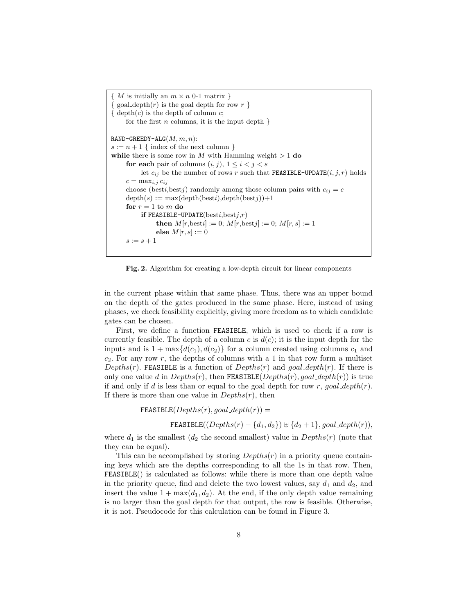$M$  is initially an  $m \times n$  0-1 matrix } { goal depth $(r)$  is the goal depth for row  $r \}$  $\{ \text{ depth}(c) \text{ is the depth of column } c;$ for the first  $n$  columns, it is the input depth  $\}$  $RAND-GREEDY-ALG(M, m, n)$ :  $s := n + 1$  { index of the next column } while there is some row in M with Hamming weight  $> 1$  do for each pair of columns  $(i, j)$ ,  $1 \leq i < j < s$ let  $c_{ij}$  be the number of rows r such that FEASIBLE-UPDATE $(i, j, r)$  holds  $c = \max_{i,j} c_{ij}$ choose (besti,bestj) randomly among those column pairs with  $c_{ij} = c$  $depth(s) := max(detth(besti), depth(bestj))+1$ for  $r = 1$  to m do if FEASIBLE-UPDATE( $besti, besti,r$ ) then  $M[r, besti] := 0; M[r, bestj] := 0; M[r, s] := 1$ else  $M[r, s] := 0$  $s := s + 1$ 

Fig. 2. Algorithm for creating a low-depth circuit for linear components

in the current phase within that same phase. Thus, there was an upper bound on the depth of the gates produced in the same phase. Here, instead of using phases, we check feasibility explicitly, giving more freedom as to which candidate gates can be chosen.

First, we define a function FEASIBLE, which is used to check if a row is currently feasible. The depth of a column c is  $d(c)$ ; it is the input depth for the inputs and is  $1 + \max\{d(c_1), d(c_2)\}\)$  for a column created using columns  $c_1$  and  $c_2$ . For any row r, the depths of columns with a 1 in that row form a multiset Depths(r). FEASIBLE is a function of  $Depths(r)$  and goal depth(r). If there is only one value d in  $Depths(r)$ , then FEASIBLE( $Depths(r)$ , goal  $depth(r)$ ) is true if and only if d is less than or equal to the goal depth for row r,  $goal\_depth(r)$ . If there is more than one value in  $Depths(r)$ , then

FEASIBLE( $Depths(r)$ , goal  $depth(r)$ ) =

FEASIBLE $((Depths(r) - \{d_1, d_2\}) \uplus \{d_2 + 1\}, goal\_depth(r)),$ 

where  $d_1$  is the smallest ( $d_2$  the second smallest) value in  $Depths(r)$  (note that they can be equal).

This can be accomplished by storing  $Depths(r)$  in a priority queue containing keys which are the depths corresponding to all the 1s in that row. Then, FEASIBLE() is calculated as follows: while there is more than one depth value in the priority queue, find and delete the two lowest values, say  $d_1$  and  $d_2$ , and insert the value  $1 + \max(d_1, d_2)$ . At the end, if the only depth value remaining is no larger than the goal depth for that output, the row is feasible. Otherwise, it is not. Pseudocode for this calculation can be found in Figure 3.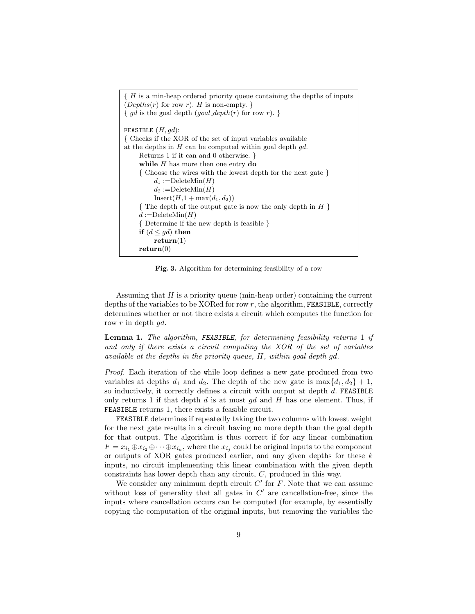$\{H\}$  is a min-heap ordered priority queue containing the depths of inputs  $(Depths(r)$  for row r). H is non-empty. } { gd is the goal depth  $(goal\_depth(r)$  for row r). } FEASIBLE  $(H, gd)$ : { Checks if the XOR of the set of input variables available at the depths in  $H$  can be computed within goal depth  $qd$ . Returns 1 if it can and 0 otherwise. } while  $H$  has more then one entry  $\bf{do}$ { Choose the wires with the lowest depth for the next gate }  $d_1 := \text{DeleteMin}(H)$  $d_2 := \text{DeleteMin}(H)$  $Insert(H,1+\max(d_1,d_2))$  $\{$  The depth of the output gate is now the only depth in  $H \}$  $d :=$ DeleteMin $(H)$ { Determine if the new depth is feasible } if  $(d \leq gd)$  then  $return(1)$  $return(0)$ 

Fig. 3. Algorithm for determining feasibility of a row

Assuming that  $H$  is a priority queue (min-heap order) containing the current depths of the variables to be XORed for row  $r$ , the algorithm, FEASIBLE, correctly determines whether or not there exists a circuit which computes the function for row  $r$  in depth  $gd$ .

Lemma 1. The algorithm, FEASIBLE, for determining feasibility returns 1 if and only if there exists a circuit computing the XOR of the set of variables available at the depths in the priority queue, H, within goal depth gd.

Proof. Each iteration of the while loop defines a new gate produced from two variables at depths  $d_1$  and  $d_2$ . The depth of the new gate is max $\{d_1, d_2\}$  + 1, so inductively, it correctly defines a circuit with output at depth d. FEASIBLE only returns 1 if that depth  $d$  is at most  $gd$  and  $H$  has one element. Thus, if FEASIBLE returns 1, there exists a feasible circuit.

FEASIBLE determines if repeatedly taking the two columns with lowest weight for the next gate results in a circuit having no more depth than the goal depth for that output. The algorithm is thus correct if for any linear combination  $F = x_{i_1} \oplus x_{i_2} \oplus \cdots \oplus x_{i_k}$ , where the  $x_{i_j}$  could be original inputs to the component or outputs of XOR gates produced earlier, and any given depths for these  $k$ inputs, no circuit implementing this linear combination with the given depth constraints has lower depth than any circuit, C, produced in this way.

We consider any minimum depth circuit  $C'$  for  $F$ . Note that we can assume without loss of generality that all gates in  $C'$  are cancellation-free, since the inputs where cancellation occurs can be computed (for example, by essentially copying the computation of the original inputs, but removing the variables the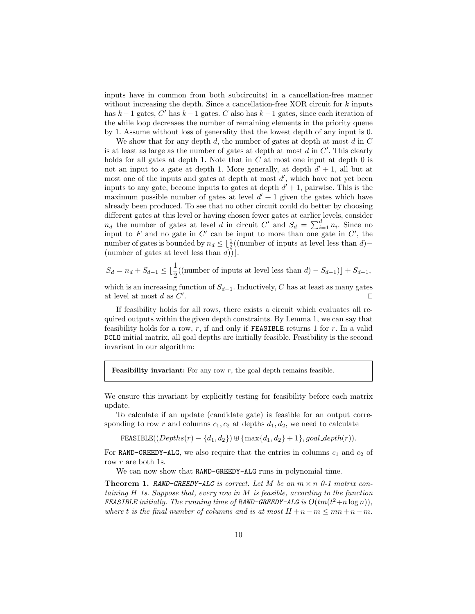inputs have in common from both subcircuits) in a cancellation-free manner without increasing the depth. Since a cancellation-free XOR circuit for  $k$  inputs has  $k-1$  gates, C' has  $k-1$  gates. C also has  $k-1$  gates, since each iteration of the while loop decreases the number of remaining elements in the priority queue by 1. Assume without loss of generality that the lowest depth of any input is 0.

We show that for any depth  $d$ , the number of gates at depth at most  $d$  in  $C$ is at least as large as the number of gates at depth at most  $d$  in  $C'$ . This clearly holds for all gates at depth 1. Note that in  $C$  at most one input at depth 0 is not an input to a gate at depth 1. More generally, at depth  $d' + 1$ , all but at most one of the inputs and gates at depth at most  $d'$ , which have not yet been inputs to any gate, become inputs to gates at depth  $d' + 1$ , pairwise. This is the maximum possible number of gates at level  $d' + 1$  given the gates which have already been produced. To see that no other circuit could do better by choosing different gates at this level or having chosen fewer gates at earlier levels, consider  $n_d$  the number of gates at level d in circuit C' and  $S_d = \sum_{i=1}^d n_i$ . Since no input to F and no gate in  $C'$  can be input to more than one gate in  $C'$ , the number of gates is bounded by  $n_d \leq \lfloor \frac{1}{2} \rfloor$  (number of inputs at level less than d)– (number of gates at level less than  $d$ )).

 $S_d = n_d + S_{d-1} \leq \lfloor \frac{1}{2} ((\text{number of inputs at level less than } d) - S_{d-1}) \rfloor + S_{d-1},$ 

which is an increasing function of  $S_{d-1}$ . Inductively, C has at least as many gates at level at most d as  $C'$ . . The contract of the contract of the contract of the contract of the contract of the contract of the contract of the contract of the contract of the contract of the contract of the contract of the contract of the contract

If feasibility holds for all rows, there exists a circuit which evaluates all required outputs within the given depth constraints. By Lemma 1, we can say that feasibility holds for a row,  $r$ , if and only if **FEASIBLE** returns 1 for  $r$ . In a valid DCLO initial matrix, all goal depths are initially feasible. Feasibility is the second invariant in our algorithm:

**Feasibility invariant:** For any row  $r$ , the goal depth remains feasible.

We ensure this invariant by explicitly testing for feasibility before each matrix update.

To calculate if an update (candidate gate) is feasible for an output corresponding to row r and columns  $c_1, c_2$  at depths  $d_1, d_2$ , we need to calculate

FEASIBLE( $(Depths(r) - \{d_1, d_2\}) \cup \{\max\{d_1, d_2\} + 1\}$ , goal\_depth(r)).

For RAND-GREEDY-ALG, we also require that the entries in columns  $c_1$  and  $c_2$  of row r are both 1s.

We can now show that RAND-GREEDY-ALG runs in polynomial time.

**Theorem 1. RAND-GREEDY-ALG** is correct. Let M be an  $m \times n$  0-1 matrix containing H 1s. Suppose that, every row in M is feasible, according to the function **FEASIBLE** initially. The running time of **RAND-GREEDY-ALG** is  $O(tm(t^2+n \log n))$ , where t is the final number of columns and is at most  $H + n - m \leq mn + n - m$ .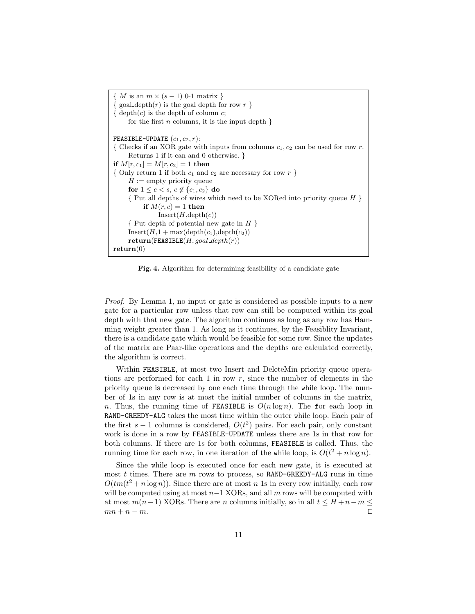$M$  is an  $m \times (s-1)$  0-1 matrix } { goal depth $(r)$  is the goal depth for row  $r$  } { depth(c) is the depth of column c; for the first n columns, it is the input depth  $\}$ FEASIBLE-UPDATE  $(c_1, c_2, r)$ : { Checks if an XOR gate with inputs from columns  $c_1, c_2$  can be used for row r. Returns 1 if it can and 0 otherwise. } if  $M[r, c_1] = M[r, c_2] = 1$  then { Only return 1 if both  $c_1$  and  $c_2$  are necessary for row  $r \}$  $H :=$  empty priority queue for  $1 \leq c < s$ ,  $c \notin \{c_1, c_2\}$  do  $\{$  Put all depths of wires which need to be XORed into priority queue H  $\}$ if  $M(r, c) = 1$  then  $Insert(H,\text{depth}(c))$  $\{$  Put depth of potential new gate in  $H$   $\}$  $Insert(H,1 + max(depth(c_1),depth(c_2))$  $return(FEASIBLE(H, goal\_depth(r))$  $return(0)$ 

Fig. 4. Algorithm for determining feasibility of a candidate gate

Proof. By Lemma 1, no input or gate is considered as possible inputs to a new gate for a particular row unless that row can still be computed within its goal depth with that new gate. The algorithm continues as long as any row has Hamming weight greater than 1. As long as it continues, by the Feasiblity Invariant, there is a candidate gate which would be feasible for some row. Since the updates of the matrix are Paar-like operations and the depths are calculated correctly, the algorithm is correct.

Within FEASIBLE, at most two Insert and DeleteMin priority queue operations are performed for each 1 in row  $r$ , since the number of elements in the priority queue is decreased by one each time through the while loop. The number of 1s in any row is at most the initial number of columns in the matrix, n. Thus, the running time of FEASIBLE is  $O(n \log n)$ . The for each loop in RAND-GREEDY-ALG takes the most time within the outer while loop. Each pair of the first  $s - 1$  columns is considered,  $O(t^2)$  pairs. For each pair, only constant work is done in a row by FEASIBLE-UPDATE unless there are 1s in that row for both columns. If there are 1s for both columns, FEASIBLE is called. Thus, the running time for each row, in one iteration of the while loop, is  $O(t^2 + n \log n)$ .

Since the while loop is executed once for each new gate, it is executed at most t times. There are  $m$  rows to process, so RAND-GREEDY-ALG runs in time  $O(tm(t^2 + n \log n))$ . Since there are at most n 1s in every row initially, each row will be computed using at most  $n-1$  XORs, and all m rows will be computed with at most  $m(n-1)$  XORs. There are n columns initially, so in all  $t \leq H + n - m \leq$  $mn + n - m$ .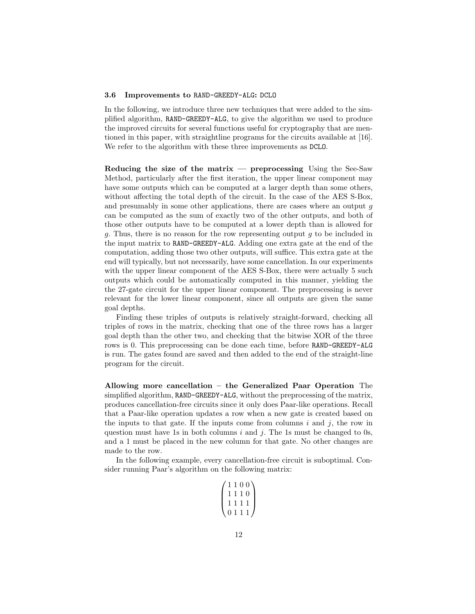#### 3.6 Improvements to RAND-GREEDY-ALG: DCLO

In the following, we introduce three new techniques that were added to the simplified algorithm, RAND-GREEDY-ALG, to give the algorithm we used to produce the improved circuits for several functions useful for cryptography that are mentioned in this paper, with straightline programs for the circuits available at [16]. We refer to the algorithm with these three improvements as **DCLO**.

Reducing the size of the matrix  $-$  preprocessing Using the See-Saw Method, particularly after the first iteration, the upper linear component may have some outputs which can be computed at a larger depth than some others, without affecting the total depth of the circuit. In the case of the AES S-Box, and presumably in some other applications, there are cases where an output  $q$ can be computed as the sum of exactly two of the other outputs, and both of those other outputs have to be computed at a lower depth than is allowed for g. Thus, there is no reason for the row representing output  $g$  to be included in the input matrix to RAND-GREEDY-ALG. Adding one extra gate at the end of the computation, adding those two other outputs, will suffice. This extra gate at the end will typically, but not necessarily, have some cancellation. In our experiments with the upper linear component of the AES S-Box, there were actually 5 such outputs which could be automatically computed in this manner, yielding the the 27-gate circuit for the upper linear component. The preprocessing is never relevant for the lower linear component, since all outputs are given the same goal depths.

Finding these triples of outputs is relatively straight-forward, checking all triples of rows in the matrix, checking that one of the three rows has a larger goal depth than the other two, and checking that the bitwise XOR of the three rows is 0. This preprocessing can be done each time, before RAND-GREEDY-ALG is run. The gates found are saved and then added to the end of the straight-line program for the circuit.

Allowing more cancellation – the Generalized Paar Operation The simplified algorithm, RAND-GREEDY-ALG, without the preprocessing of the matrix, produces cancellation-free circuits since it only does Paar-like operations. Recall that a Paar-like operation updates a row when a new gate is created based on the inputs to that gate. If the inputs come from columns  $i$  and  $j$ , the row in question must have 1s in both columns  $i$  and  $j$ . The 1s must be changed to 0s, and a 1 must be placed in the new column for that gate. No other changes are made to the row.

In the following example, every cancellation-free circuit is suboptimal. Consider running Paar's algorithm on the following matrix:

$$
\begin{pmatrix} 1 & 1 & 0 & 0 \\ 1 & 1 & 1 & 0 \\ 1 & 1 & 1 & 1 \\ 0 & 1 & 1 & 1 \end{pmatrix}
$$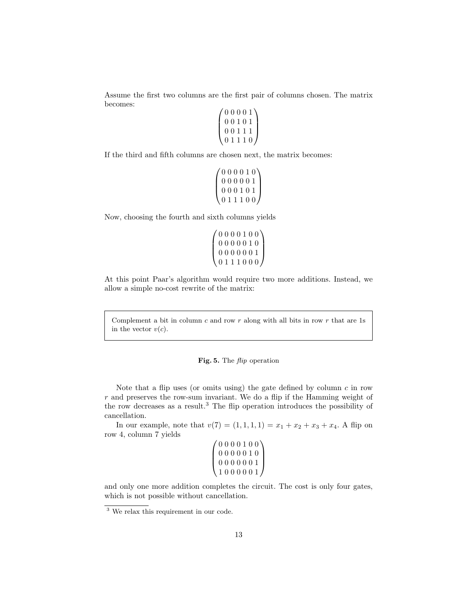Assume the first two columns are the first pair of columns chosen. The matrix becomes:

$$
\begin{pmatrix} 0 & 0 & 0 & 0 & 1 \\ 0 & 0 & 1 & 0 & 1 \\ 0 & 0 & 1 & 1 & 1 \\ 0 & 1 & 1 & 1 & 0 \end{pmatrix}
$$

If the third and fifth columns are chosen next, the matrix becomes:

|        |  | (000010) |
|--------|--|----------|
|        |  | 000001   |
| 000101 |  |          |
| 011100 |  |          |

Now, choosing the fourth and sixth columns yields

```
(0000100)\overline{\mathcal{N}}0 0 0 0 1 0 0
    0 0 0 0 0 1 0
    0 0 0 0 0 0 1
    \left.\begin{array}{c} 0\ 0\ 0\ 0\ 0\ 0\ 0\ 0\ 1\ \end{array}\right)
```
At this point Paar's algorithm would require two more additions. Instead, we allow a simple no-cost rewrite of the matrix:

Complement a bit in column  $c$  and row  $r$  along with all bits in row  $r$  that are 1s in the vector  $v(c)$ .

#### Fig. 5. The *flip* operation

Note that a flip uses (or omits using) the gate defined by column  $c$  in row  $r$  and preserves the row-sum invariant. We do a flip if the Hamming weight of the row decreases as a result.<sup>3</sup> The flip operation introduces the possibility of cancellation.

In our example, note that  $v(7) = (1, 1, 1, 1) = x_1 + x_2 + x_3 + x_4$ . A flip on row 4, column 7 yields

| $\begin{array}{c}\n 0000100 \\  0000010\n \end{array}$ |  |
|--------------------------------------------------------|--|
| 0000001                                                |  |
| 1000001                                                |  |

and only one more addition completes the circuit. The cost is only four gates, which is not possible without cancellation.

<sup>&</sup>lt;sup>3</sup> We relax this requirement in our code.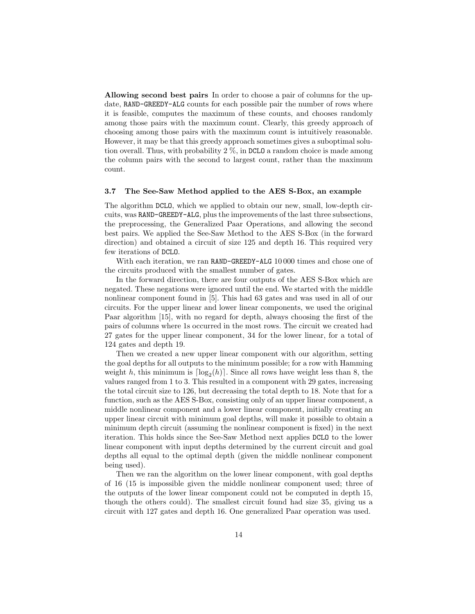Allowing second best pairs In order to choose a pair of columns for the update, RAND-GREEDY-ALG counts for each possible pair the number of rows where it is feasible, computes the maximum of these counts, and chooses randomly among those pairs with the maximum count. Clearly, this greedy approach of choosing among those pairs with the maximum count is intuitively reasonable. However, it may be that this greedy approach sometimes gives a suboptimal solution overall. Thus, with probability 2 %, in DCLO a random choice is made among the column pairs with the second to largest count, rather than the maximum count.

### 3.7 The See-Saw Method applied to the AES S-Box, an example

The algorithm DCLO, which we applied to obtain our new, small, low-depth circuits, was RAND-GREEDY-ALG, plus the improvements of the last three subsections, the preprocessing, the Generalized Paar Operations, and allowing the second best pairs. We applied the See-Saw Method to the AES S-Box (in the forward direction) and obtained a circuit of size 125 and depth 16. This required very few iterations of DCLO.

With each iteration, we ran RAND-GREEDY-ALG 10000 times and chose one of the circuits produced with the smallest number of gates.

In the forward direction, there are four outputs of the AES S-Box which are negated. These negations were ignored until the end. We started with the middle nonlinear component found in [5]. This had 63 gates and was used in all of our circuits. For the upper linear and lower linear components, we used the original Paar algorithm [15], with no regard for depth, always choosing the first of the pairs of columns where 1s occurred in the most rows. The circuit we created had 27 gates for the upper linear component, 34 for the lower linear, for a total of 124 gates and depth 19.

Then we created a new upper linear component with our algorithm, setting the goal depths for all outputs to the minimum possible; for a row with Hamming weight h, this minimum is  $\lceil \log_2(h) \rceil$ . Since all rows have weight less than 8, the values ranged from 1 to 3. This resulted in a component with 29 gates, increasing the total circuit size to 126, but decreasing the total depth to 18. Note that for a function, such as the AES S-Box, consisting only of an upper linear component, a middle nonlinear component and a lower linear component, initially creating an upper linear circuit with minimum goal depths, will make it possible to obtain a minimum depth circuit (assuming the nonlinear component is fixed) in the next iteration. This holds since the See-Saw Method next applies DCLO to the lower linear component with input depths determined by the current circuit and goal depths all equal to the optimal depth (given the middle nonlinear component being used).

Then we ran the algorithm on the lower linear component, with goal depths of 16 (15 is impossible given the middle nonlinear component used; three of the outputs of the lower linear component could not be computed in depth 15, though the others could). The smallest circuit found had size 35, giving us a circuit with 127 gates and depth 16. One generalized Paar operation was used.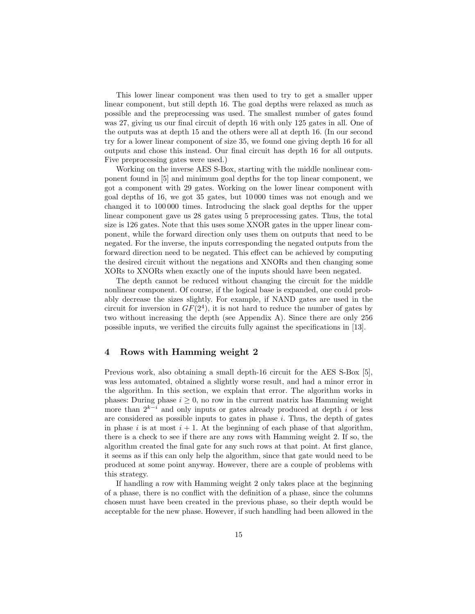This lower linear component was then used to try to get a smaller upper linear component, but still depth 16. The goal depths were relaxed as much as possible and the preprocessing was used. The smallest number of gates found was 27, giving us our final circuit of depth 16 with only 125 gates in all. One of the outputs was at depth 15 and the others were all at depth 16. (In our second try for a lower linear component of size 35, we found one giving depth 16 for all outputs and chose this instead. Our final circuit has depth 16 for all outputs. Five preprocessing gates were used.)

Working on the inverse AES S-Box, starting with the middle nonlinear component found in [5] and minimum goal depths for the top linear component, we got a component with 29 gates. Working on the lower linear component with goal depths of 16, we got 35 gates, but 10 000 times was not enough and we changed it to 100 000 times. Introducing the slack goal depths for the upper linear component gave us 28 gates using 5 preprocessing gates. Thus, the total size is 126 gates. Note that this uses some XNOR gates in the upper linear component, while the forward direction only uses them on outputs that need to be negated. For the inverse, the inputs corresponding the negated outputs from the forward direction need to be negated. This effect can be achieved by computing the desired circuit without the negations and XNORs and then changing some XORs to XNORs when exactly one of the inputs should have been negated.

The depth cannot be reduced without changing the circuit for the middle nonlinear component. Of course, if the logical base is expanded, one could probably decrease the sizes slightly. For example, if NAND gates are used in the circuit for inversion in  $GF(2<sup>4</sup>)$ , it is not hard to reduce the number of gates by two without increasing the depth (see Appendix A). Since there are only 256 possible inputs, we verified the circuits fully against the specifications in [13].

# 4 Rows with Hamming weight 2

Previous work, also obtaining a small depth-16 circuit for the AES S-Box [5], was less automated, obtained a slightly worse result, and had a minor error in the algorithm. In this section, we explain that error. The algorithm works in phases: During phase  $i \geq 0$ , no row in the current matrix has Hamming weight more than  $2^{k-i}$  and only inputs or gates already produced at depth i or less are considered as possible inputs to gates in phase  $i$ . Thus, the depth of gates in phase i is at most  $i + 1$ . At the beginning of each phase of that algorithm, there is a check to see if there are any rows with Hamming weight 2. If so, the algorithm created the final gate for any such rows at that point. At first glance, it seems as if this can only help the algorithm, since that gate would need to be produced at some point anyway. However, there are a couple of problems with this strategy.

If handling a row with Hamming weight 2 only takes place at the beginning of a phase, there is no conflict with the definition of a phase, since the columns chosen must have been created in the previous phase, so their depth would be acceptable for the new phase. However, if such handling had been allowed in the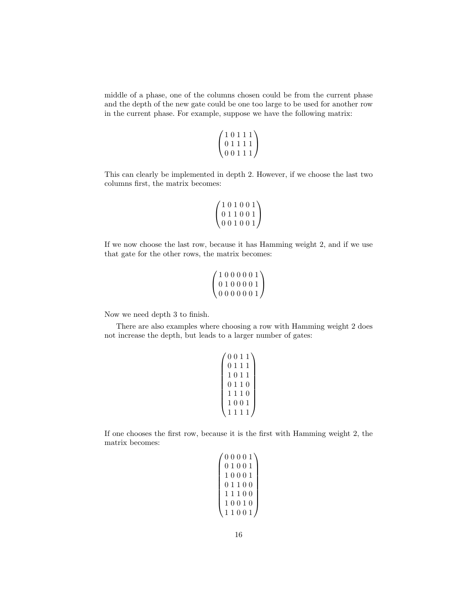middle of a phase, one of the columns chosen could be from the current phase and the depth of the new gate could be one too large to be used for another row in the current phase. For example, suppose we have the following matrix:

$$
\begin{pmatrix} 1 & 0 & 1 & 1 & 1 \\ 0 & 1 & 1 & 1 & 1 \\ 0 & 0 & 1 & 1 & 1 \end{pmatrix}
$$

This can clearly be implemented in depth 2. However, if we choose the last two columns first, the matrix becomes:

$$
\left(\n\begin{array}{c}\n1 & 0 & 1 & 0 & 0 & 1 \\
0 & 1 & 1 & 0 & 0 & 1 \\
0 & 0 & 1 & 0 & 0 & 1\n\end{array}\n\right)
$$

If we now choose the last row, because it has Hamming weight 2, and if we use that gate for the other rows, the matrix becomes:

$$
\left(\n\begin{array}{c}\n1 & 0 & 0 & 0 & 0 & 1 \\
0 & 1 & 0 & 0 & 0 & 1 \\
0 & 0 & 0 & 0 & 0 & 1\n\end{array}\n\right)
$$

Now we need depth 3 to finish.

There are also examples where choosing a row with Hamming weight 2 does not increase the depth, but leads to a larger number of gates:

|  | 0011            |  |
|--|-----------------|--|
|  | 0111            |  |
|  | 1011            |  |
|  | $0\; 1\; 1\; 0$ |  |
|  | 1110            |  |
|  | 1001            |  |
|  | 1111            |  |

If one chooses the first row, because it is the first with Hamming weight 2, the matrix becomes:

```
(0 0 0 0 1)\sqrt{2}0 1 0 0 1
  1 0 0 0 1
  0 1 1 0 0
  1 1 1 0 0
  1 0 0 1 0
  1 1 0 0 1
\bigg\}
```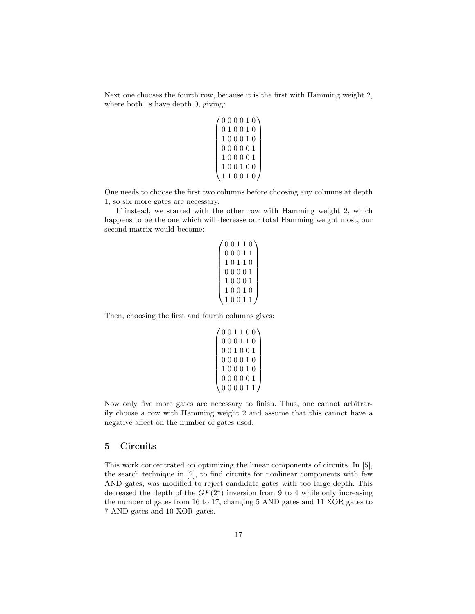Next one chooses the fourth row, because it is the first with Hamming weight 2, where both 1s have depth 0, giving:

$$
\begin{pmatrix} 0&0&0&0&1&0 \\ 0&1&0&0&1&0 \\ 1&0&0&0&1&0 \\ 0&0&0&0&0&1 \\ 1&0&0&0&0&1 \\ 1&0&0&1&0&0 \\ 1&1&0&0&1&0 \end{pmatrix}
$$

One needs to choose the first two columns before choosing any columns at depth 1, so six more gates are necessary.

If instead, we started with the other row with Hamming weight 2, which happens to be the one which will decrease our total Hamming weight most, our second matrix would become:

| 00110 |       |  |
|-------|-------|--|
|       | 00011 |  |
|       | 10110 |  |
|       | 00001 |  |
| 10001 |       |  |
|       | 10010 |  |
| 10011 |       |  |

Then, choosing the first and fourth columns gives:

| 001100                  |  |
|-------------------------|--|
| 000110                  |  |
| $0\; 0\; 1\; 0\; 0\; 1$ |  |
| 000010                  |  |
| 100010                  |  |
| 000001                  |  |
| 000011                  |  |

Now only five more gates are necessary to finish. Thus, one cannot arbitrarily choose a row with Hamming weight 2 and assume that this cannot have a negative affect on the number of gates used.

# 5 Circuits

This work concentrated on optimizing the linear components of circuits. In [5], the search technique in [2], to find circuits for nonlinear components with few AND gates, was modified to reject candidate gates with too large depth. This decreased the depth of the  $GF(2<sup>4</sup>)$  inversion from 9 to 4 while only increasing the number of gates from 16 to 17, changing 5 AND gates and 11 XOR gates to 7 AND gates and 10 XOR gates.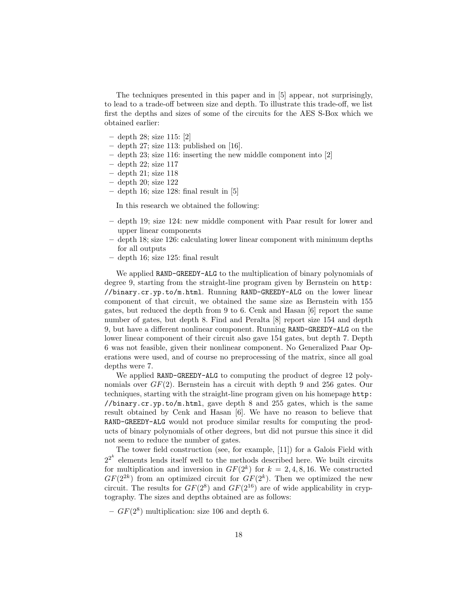The techniques presented in this paper and in [5] appear, not surprisingly, to lead to a trade-off between size and depth. To illustrate this trade-off, we list first the depths and sizes of some of the circuits for the AES S-Box which we obtained earlier:

- depth 28; size 115: [2]
- depth 27; size 113: published on [16].
- depth 23; size 116: inserting the new middle component into [2]
- depth 22; size 117
- depth 21; size 118
- depth 20; size 122
- depth 16; size 128: final result in [5]

In this research we obtained the following:

- depth 19; size 124: new middle component with Paar result for lower and upper linear components
- depth 18; size 126: calculating lower linear component with minimum depths for all outputs
- depth 16; size 125: final result

We applied RAND-GREEDY-ALG to the multiplication of binary polynomials of degree 9, starting from the straight-line program given by Bernstein on http: //binary.cr.yp.to/m.html. Running RAND-GREEDY-ALG on the lower linear component of that circuit, we obtained the same size as Bernstein with 155 gates, but reduced the depth from 9 to 6. Cenk and Hasan [6] report the same number of gates, but depth 8. Find and Peralta [8] report size 154 and depth 9, but have a different nonlinear component. Running RAND-GREEDY-ALG on the lower linear component of their circuit also gave 154 gates, but depth 7. Depth 6 was not feasible, given their nonlinear component. No Generalized Paar Operations were used, and of course no preprocessing of the matrix, since all goal depths were 7.

We applied RAND-GREEDY-ALG to computing the product of degree 12 polynomials over  $GF(2)$ . Bernstein has a circuit with depth 9 and 256 gates. Our techniques, starting with the straight-line program given on his homepage http: //binary.cr.yp.to/m.html, gave depth 8 and 255 gates, which is the same result obtained by Cenk and Hasan [6]. We have no reason to believe that RAND-GREEDY-ALG would not produce similar results for computing the products of binary polynomials of other degrees, but did not pursue this since it did not seem to reduce the number of gates.

The tower field construction (see, for example, [11]) for a Galois Field with  $2^{2^k}$ elements lends itself well to the methods described here. We built circuits for multiplication and inversion in  $GF(2^k)$  for  $k = 2, 4, 8, 16$ . We constructed  $GF(2^{2k})$  from an optimized circuit for  $GF(2^k)$ . Then we optimized the new circuit. The results for  $GF(2^8)$  and  $GF(2^{16})$  are of wide applicability in cryptography. The sizes and depths obtained are as follows:

–  $GF(2^8)$  multiplication: size 106 and depth 6.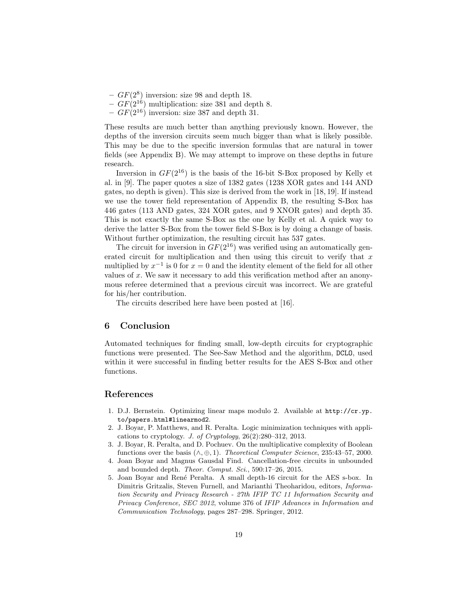- $GF(2^8)$  inversion: size 98 and depth 18.
- $GF(2^{16})$  multiplication: size 381 and depth 8.
- $GF(2^{16})$  inversion: size 387 and depth 31.

These results are much better than anything previously known. However, the depths of the inversion circuits seem much bigger than what is likely possible. This may be due to the specific inversion formulas that are natural in tower fields (see Appendix B). We may attempt to improve on these depths in future research.

Inversion in  $GF(2^{16})$  is the basis of the 16-bit S-Box proposed by Kelly et al. in [9]. The paper quotes a size of 1382 gates (1238 XOR gates and 144 AND gates, no depth is given). This size is derived from the work in [18, 19]. If instead we use the tower field representation of Appendix B, the resulting S-Box has 446 gates (113 AND gates, 324 XOR gates, and 9 XNOR gates) and depth 35. This is not exactly the same S-Box as the one by Kelly et al. A quick way to derive the latter S-Box from the tower field S-Box is by doing a change of basis. Without further optimization, the resulting circuit has 537 gates.

The circuit for inversion in  $GF(2^{16})$  was verified using an automatically generated circuit for multiplication and then using this circuit to verify that  $x$ multiplied by  $x^{-1}$  is 0 for  $x = 0$  and the identity element of the field for all other values of x. We saw it necessary to add this verification method after an anonymous referee determined that a previous circuit was incorrect. We are grateful for his/her contribution.

The circuits described here have been posted at [16].

### 6 Conclusion

Automated techniques for finding small, low-depth circuits for cryptographic functions were presented. The See-Saw Method and the algorithm, DCLO, used within it were successful in finding better results for the AES S-Box and other functions.

# References

- 1. D.J. Bernstein. Optimizing linear maps modulo 2. Available at http://cr.yp. to/papers.html#linearmod2.
- 2. J. Boyar, P. Matthews, and R. Peralta. Logic minimization techniques with applications to cryptology. J. of Cryptology,  $26(2):280-312$ ,  $2013$ .
- 3. J. Boyar, R. Peralta, and D. Pochuev. On the multiplicative complexity of Boolean functions over the basis  $(\wedge, \oplus, 1)$ . Theoretical Computer Science, 235:43–57, 2000.
- 4. Joan Boyar and Magnus Gausdal Find. Cancellation-free circuits in unbounded and bounded depth. Theor. Comput. Sci., 590:17–26, 2015.
- 5. Joan Boyar and René Peralta. A small depth-16 circuit for the AES s-box. In Dimitris Gritzalis, Steven Furnell, and Marianthi Theoharidou, editors, Information Security and Privacy Research - 27th IFIP TC 11 Information Security and Privacy Conference, SEC 2012, volume 376 of IFIP Advances in Information and Communication Technology, pages 287–298. Springer, 2012.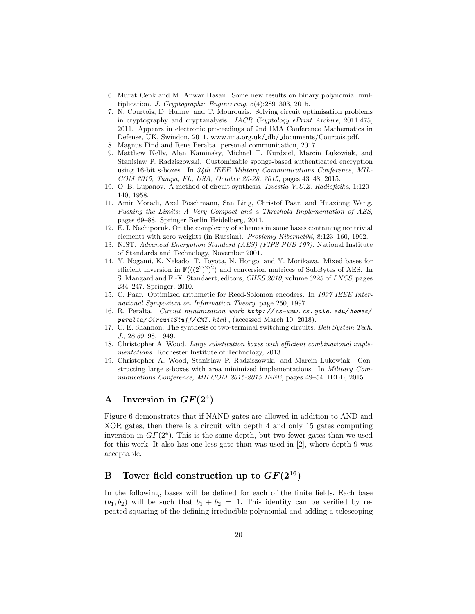- 6. Murat Cenk and M. Anwar Hasan. Some new results on binary polynomial multiplication. J. Cryptographic Engineering, 5(4):289–303, 2015.
- 7. N. Courtois, D. Hulme, and T. Mourouzis. Solving circuit optimisation problems in cryptography and cryptanalysis. IACR Cryptology ePrint Archive, 2011:475, 2011. Appears in electronic proceedings of 2nd IMA Conference Mathematics in Defense, UK, Swindon, 2011, www.ima.org.uk/ db/ documents/Courtois.pdf.
- 8. Magnus Find and Rene Peralta. personal communication, 2017.
- 9. Matthew Kelly, Alan Kaminsky, Michael T. Kurdziel, Marcin Lukowiak, and Stanislaw P. Radziszowski. Customizable sponge-based authenticated encryption using 16-bit s-boxes. In 34th IEEE Military Communications Conference, MIL-COM 2015, Tampa, FL, USA, October 26-28, 2015, pages 43–48, 2015.
- 10. O. B. Lupanov. A method of circuit synthesis. Izvestia V.U.Z. Radiofizika, 1:120– 140, 1958.
- 11. Amir Moradi, Axel Poschmann, San Ling, Christof Paar, and Huaxiong Wang. Pushing the Limits: A Very Compact and a Threshold Implementation of AES, pages 69–88. Springer Berlin Heidelberg, 2011.
- 12. E. I. Nechiporuk. On the complexity of schemes in some bases containing nontrivial elements with zero weights (in Russian). Problemy Kibernetiki, 8:123–160, 1962.
- 13. NIST. Advanced Encryption Standard (AES) (FIPS PUB 197). National Institute of Standards and Technology, November 2001.
- 14. Y. Nogami, K. Nekado, T. Toyota, N. Hongo, and Y. Morikawa. Mixed bases for efficient inversion in  $\mathbb{F}(((2^2)^2)^2)$  and conversion matrices of SubBytes of AES. In S. Mangard and F.-X. Standaert, editors, CHES 2010, volume 6225 of LNCS, pages 234–247. Springer, 2010.
- 15. C. Paar. Optimized arithmetic for Reed-Solomon encoders. In 1997 IEEE International Symposium on Information Theory, page 250, 1997.
- 16. R. Peralta. Circuit minimization work http: // cs-www. cs. yale. edu/ homes/ peralta/ CircuitStuff/ CMT. html , (accessed March 10, 2018).
- 17. C. E. Shannon. The synthesis of two-terminal switching circuits. Bell System Tech. J., 28:59–98, 1949.
- 18. Christopher A. Wood. Large substitution boxes with efficient combinational implementations. Rochester Institute of Technology, 2013.
- 19. Christopher A. Wood, Stanislaw P. Radziszowski, and Marcin Lukowiak. Constructing large s-boxes with area minimized implementations. In Military Communications Conference, MILCOM 2015-2015 IEEE, pages 49–54. IEEE, 2015.

# A Inversion in  $GF(2^4)$

Figure 6 demonstrates that if NAND gates are allowed in addition to AND and XOR gates, then there is a circuit with depth 4 and only 15 gates computing inversion in  $GF(2<sup>4</sup>)$ . This is the same depth, but two fewer gates than we used for this work. It also has one less gate than was used in [2], where depth 9 was acceptable.

# B Tower field construction up to  $GF(2^{16})$

In the following, bases will be defined for each of the finite fields. Each base  $(b_1, b_2)$  will be such that  $b_1 + b_2 = 1$ . This identity can be verified by repeated squaring of the defining irreducible polynomial and adding a telescoping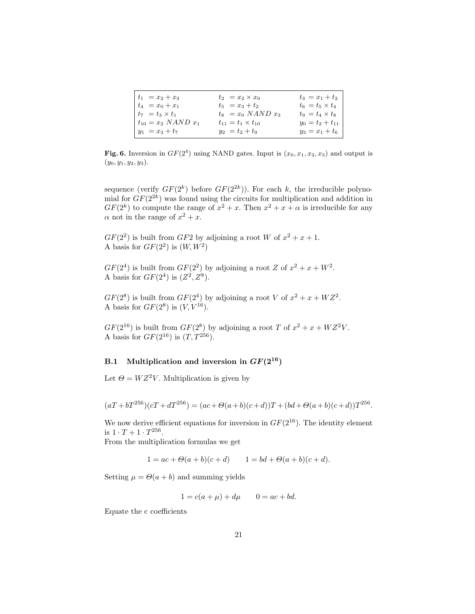| $t_1 = x_2 + x_3$                         | $t_2 = x_2 \times x_0$                 | $t_3 = x_1 + t_2$      |
|-------------------------------------------|----------------------------------------|------------------------|
| $t_4 = x_0 + x_1$                         | $t_5 = x_3 + t_2$                      | $t_6 = t_5 \times t_4$ |
| $t_7 = t_3 \times t_1$                    | $t_8 = x_0 \text{ } NAND \text{ } x_3$ | $t_9 = t_4 \times t_8$ |
| $t_{10} = x_2 \text{ } NAND \text{ } x_1$ | $t_{11} = t_1 \times t_{10}$           | $y_0 = t_2 + t_{11}$   |
| $y_1 = x_3 + t_7$                         | $y_2 = t_2 + t_9$                      | $y_3 = x_1 + t_6$      |

Fig. 6. Inversion in  $GF(2^4)$  using NAND gates. Input is  $(x_0, x_1, x_2, x_3)$  and output is  $(y_0, y_1, y_2, y_3).$ 

sequence (verify  $GF(2^k)$  before  $GF(2^{2k})$ ). For each k, the irreducible polynomial for  $GF(2^{2k})$  was found using the circuits for multiplication and addition in  $GF(2^k)$  to compute the range of  $x^2 + x$ . Then  $x^2 + x + \alpha$  is irreducible for any  $\alpha$  not in the range of  $x^2 + x$ .

 $GF(2^2)$  is built from  $GF2$  by adjoining a root W of  $x^2 + x + 1$ . A basis for  $GF(2^2)$  is  $(W, W^2)$ 

 $GF(2^4)$  is built from  $GF(2^2)$  by adjoining a root Z of  $x^2 + x + W^2$ . A basis for  $GF(2^4)$  is  $(Z^2, Z^8)$ .

 $GF(2^8)$  is built from  $GF(2^4)$  by adjoining a root V of  $x^2 + x + WZ^2$ . A basis for  $GF(2^8)$  is  $(V, V^{16})$ .

 $GF(2^{16})$  is built from  $GF(2^8)$  by adjoining a root T of  $x^2 + x + WZ^2V$ . A basis for  $GF(2^{16})$  is  $(T, T^{256})$ .

# B.1 Multiplication and inversion in  $GF(2^{16})$

Let  $\Theta = WZ^2V$ . Multiplication is given by

$$
(aT + bT^{256})(cT + dT^{256}) = (ac + \Theta(a+b)(c+d))T + (bd + \Theta(a+b)(c+d))T^{256}.
$$

We now derive efficient equations for inversion in  $GF(2^{16})$ . The identity element is  $1 \cdot T + 1 \cdot T^{256}$ .

From the multiplication formulas we get

$$
1 = ac + \Theta(a+b)(c+d) \qquad 1 = bd + \Theta(a+b)(c+d).
$$

Setting  $\mu = \Theta(a + b)$  and summing yields

$$
1 = c(a + \mu) + d\mu \qquad 0 = ac + bd.
$$

Equate the c coefficients